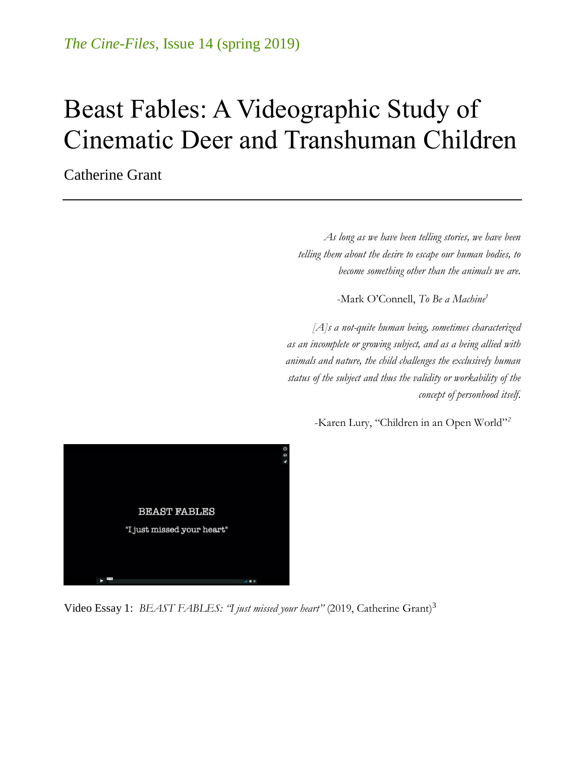# Beast Fables: A Videographic Study of Cinematic Deer and Transhuman Children

Catherine Grant

*As long as we have been telling stories, we have been telling them about the desire to escape our human bodies, to become something other than the animals we are.*

-Mark O'Connell, *To Be a Machine<sup>1</sup>*

*[A]s a not-quite human being, sometimes characterized as an incomplete or growing subject, and as a being allied with animals and nature, the child challenges the exclusively human status of the subject and thus the validity or workability of the concept of personhood itself.*





Video Essay 1: *B[EAST FABLES: "I just missed your heart"](http://www.criticalcommons.org/Members/filmstudiesff/clips/beast-fables-201ci-just-missed-your-heart201d-a/)* (2019, Catherine Grant)<sup>3</sup>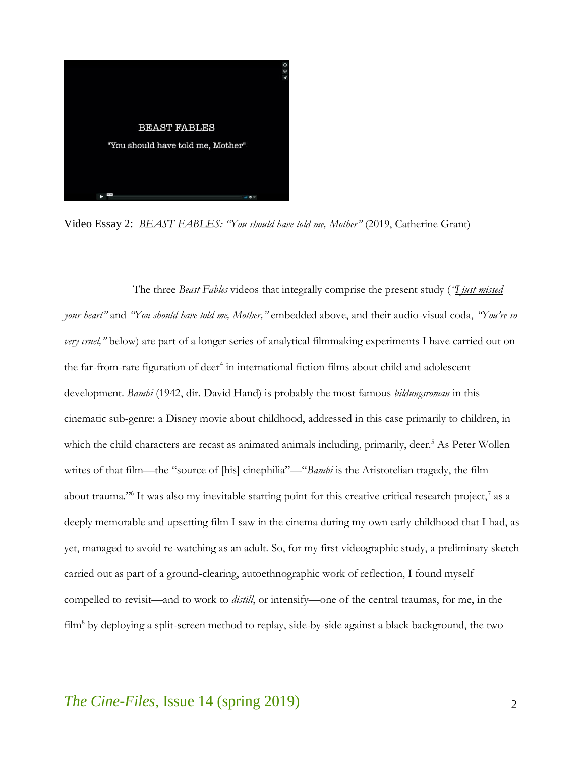

Video Essay 2: *[BEAST FABLES: "You should have told me, Mother"](http://www.criticalcommons.org/Members/filmstudiesff/clips/beast-fables-201cyou-should-have-told-me/)* (2019, Catherine Grant)

The three *Beast Fables* videos that integrally comprise the present study (*"[I just missed](http://www.criticalcommons.org/Members/filmstudiesff/clips/beast-fables-201ci-just-missed-your-heart201d-a/)  [your heart](http://www.criticalcommons.org/Members/filmstudiesff/clips/beast-fables-201ci-just-missed-your-heart201d-a/)"* and *"[You should have told me, Mother](http://www.criticalcommons.org/Members/filmstudiesff/clips/beast-fables-201cyou-should-have-told-me/),"* embedded above, and their audio-visual coda, *["You're so](http://www.criticalcommons.org/Members/filmstudiesff/clips/beast-fables-201cyoure-so-very-cruel201d-a-video/video_view)  [very cruel](http://www.criticalcommons.org/Members/filmstudiesff/clips/beast-fables-201cyoure-so-very-cruel201d-a-video/video_view),"* below) are part of a longer series of analytical filmmaking experiments I have carried out on the far-from-rare figuration of deer<sup>4</sup> in international fiction films about child and adolescent development. *Bambi* (1942, dir. David Hand) is probably the most famous *bildungsroman* in this cinematic sub-genre: a Disney movie about childhood, addressed in this case primarily to children, in which the child characters are recast as animated animals including, primarily, deer.<sup>5</sup> As Peter Wollen writes of that film—the "source of [his] cinephilia"—"*Bambi* is the Aristotelian tragedy, the film about trauma." It was also my inevitable starting point for this creative critical research project,<sup>7</sup> as a deeply memorable and upsetting film I saw in the cinema during my own early childhood that I had, as yet, managed to avoid re-watching as an adult. So, for my first videographic study, a preliminary sketch carried out as part of a ground-clearing, autoethnographic work of reflection, I found myself compelled to revisit—and to work to *distill*, or intensify—one of the central traumas, for me, in the film<sup>8</sup> by deploying a split-screen method to replay, side-by-side against a black background, the two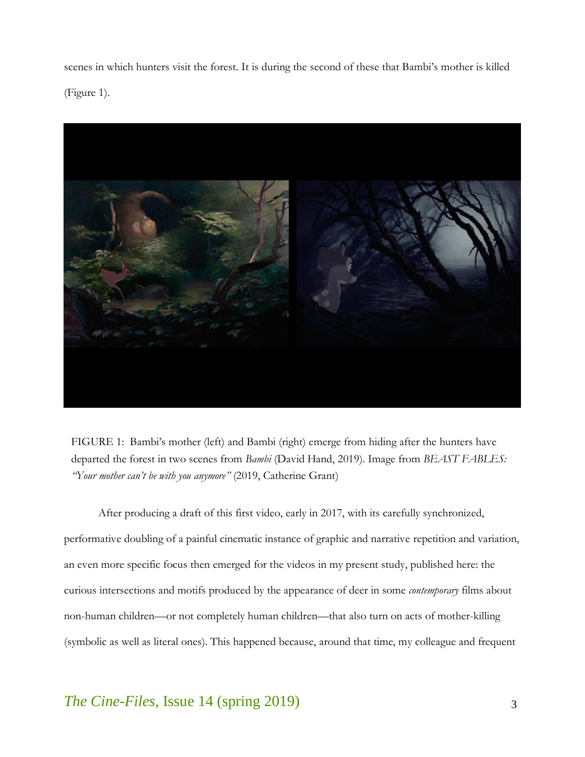scenes in which hunters visit the forest. It is during the second of these that Bambi's mother is killed (Figure 1).



FIGURE 1: Bambi's mother (left) and Bambi (right) emerge from hiding after the hunters have departed the forest in two scenes from *Bambi* (David Hand, 2019). Image from *BEAST FABLES: "Your mother can't be with you anymore"* (2019, Catherine Grant)

After producing a draft of this first video, early in 2017, with its carefully synchronized, performative doubling of a painful cinematic instance of graphic and narrative repetition and variation, an even more specific focus then emerged for the videos in my present study, published here: the curious intersections and motifs produced by the appearance of deer in some *contemporary* films about non-human children—or not completely human children—that also turn on acts of mother-killing (symbolic as well as literal ones). This happened because, around that time, my colleague and frequent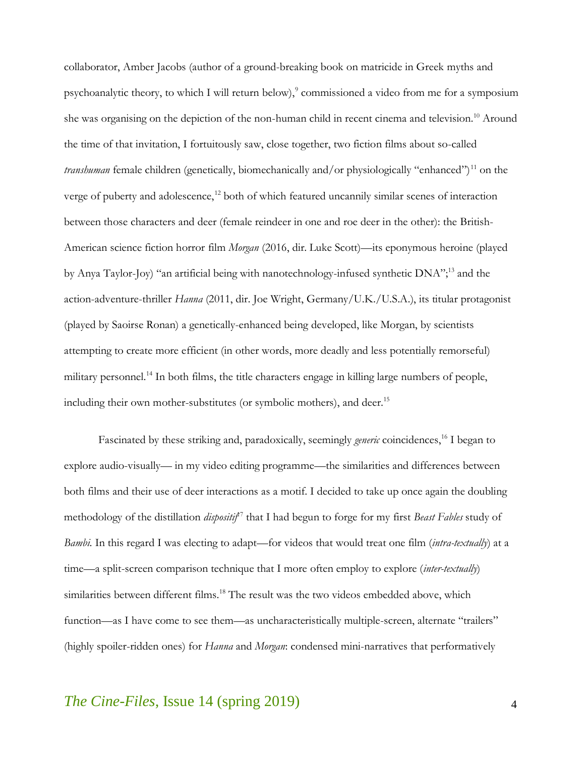collaborator, Amber Jacobs (author of a ground-breaking book on matricide in Greek myths and psychoanalytic theory, to which I will return below), 9 commissioned a video from me for a symposium she was organising on the depiction of the non-human child in recent cinema and television. <sup>10</sup> Around the time of that invitation, I fortuitously saw, close together, two fiction films about so-called *transhuman* female children (genetically, biomechanically and/or physiologically "enhanced")<sup>11</sup> on the verge of puberty and adolescence,<sup>12</sup> both of which featured uncannily similar scenes of interaction between those characters and deer (female reindeer in one and roe deer in the other): the British-American science fiction horror film *Morgan* (2016, dir. Luke Scott)—its eponymous heroine (played by Anya Taylor-Joy) "an artificial being with nanotechnology-infused synthetic DNA";<sup>13</sup> and the action-adventure-thriller *Hanna* (2011, dir. Joe Wright, Germany/U.K./U.S.A.), its titular protagonist (played by Saoirse Ronan) a genetically-enhanced being developed, like Morgan, by scientists attempting to create more efficient (in other words, more deadly and less potentially remorseful) military personnel.<sup>14</sup> In both films, the title characters engage in killing large numbers of people, including their own mother-substitutes (or symbolic mothers), and deer.<sup>15</sup>

Fascinated by these striking and, paradoxically, seemingly *generic* coincidences,<sup>16</sup> I began to explore audio-visually— in my video editing programme—the similarities and differences between both films and their use of deer interactions as a motif. I decided to take up once again the doubling methodology of the distillation *dispositif*<sup>17</sup> that I had begun to forge for my first *Beast Fables* study of *Bambi*. In this regard I was electing to adapt—for videos that would treat one film (*intra-textually*) at a time—a split-screen comparison technique that I more often employ to explore (*inter-textually*) similarities between different films.<sup>18</sup> The result was the two videos embedded above, which function—as I have come to see them—as uncharacteristically multiple-screen, alternate "trailers" (highly spoiler-ridden ones) for *Hanna* and *Morgan*: condensed mini-narratives that performatively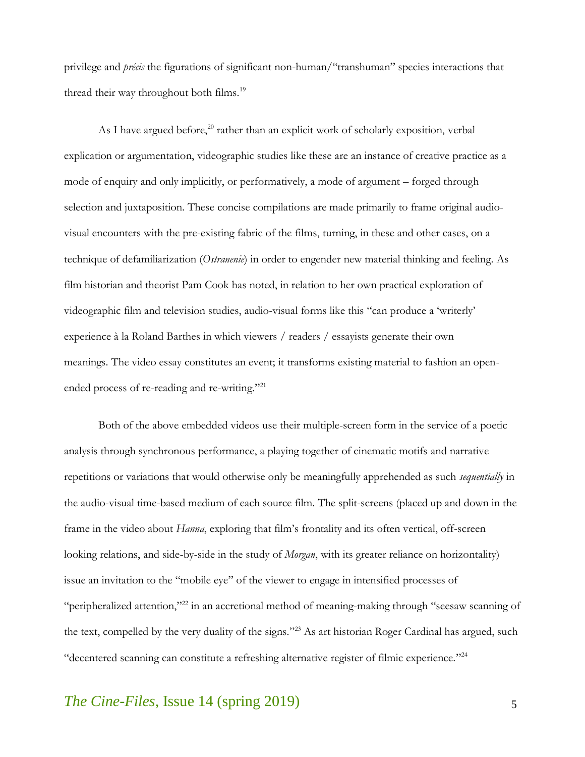privilege and *précis* the figurations of significant non-human/"transhuman" species interactions that thread their way throughout both films.<sup>19</sup>

As I have argued before, $^{20}$  rather than an explicit work of scholarly exposition, verbal explication or argumentation, videographic studies like these are an instance of creative practice as a mode of enquiry and only implicitly, or performatively, a mode of argument – forged through selection and juxtaposition. These concise compilations are made primarily to frame original audiovisual encounters with the pre-existing fabric of the films, turning, in these and other cases, on a technique of defamiliarization (*Ostranenie*) in order to engender new material thinking and feeling. As film historian and theorist Pam Cook has noted, in relation to her own practical exploration of videographic film and television studies, audio-visual forms like this "can produce a 'writerly' experience à la Roland Barthes in which viewers / readers / essayists generate their own meanings. The video essay constitutes an event; it transforms existing material to fashion an openended process of re-reading and re-writing." 21

Both of the above embedded videos use their multiple-screen form in the service of a poetic analysis through synchronous performance, a playing together of cinematic motifs and narrative repetitions or variations that would otherwise only be meaningfully apprehended as such *sequentially* in the audio-visual time-based medium of each source film. The split-screens (placed up and down in the frame in the video about *Hanna*, exploring that film's frontality and its often vertical, off-screen looking relations, and side-by-side in the study of *Morgan*, with its greater reliance on horizontality) issue an invitation to the "mobile eye" of the viewer to engage in intensified processes of "peripheralized attention,"<sup>22</sup> in an accretional method of meaning-making through "seesaw scanning of the text, compelled by the very duality of the signs."<sup>23</sup> As art historian Roger Cardinal has argued, such "decentered scanning can constitute a refreshing alternative register of filmic experience." 24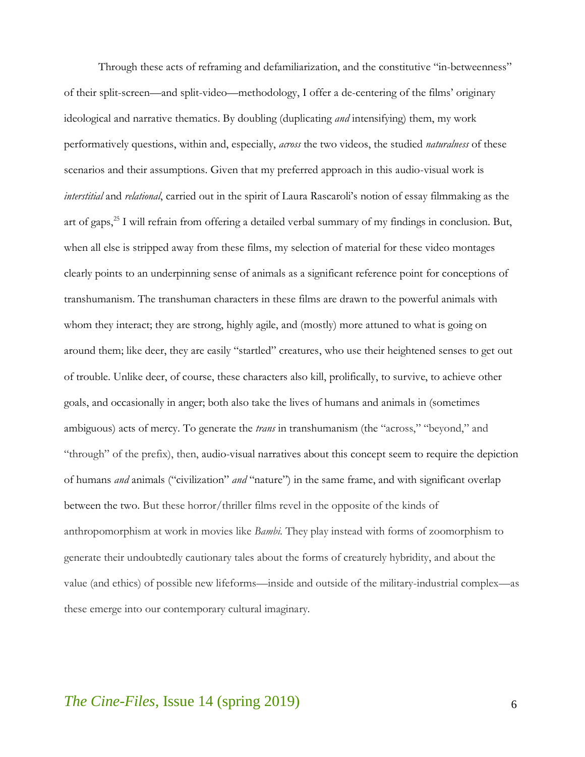Through these acts of reframing and defamiliarization, and the constitutive "in-betweenness" of their split-screen—and split-video—methodology, I offer a de-centering of the films' originary ideological and narrative thematics. By doubling (duplicating *and* intensifying) them, my work performatively questions, within and, especially, *across* the two videos, the studied *naturalness* of these scenarios and their assumptions. Given that my preferred approach in this audio-visual work is *interstitial* and *relational*, carried out in the spirit of Laura Rascaroli's notion of essay filmmaking as the art of gaps,<sup>25</sup> I will refrain from offering a detailed verbal summary of my findings in conclusion. But, when all else is stripped away from these films, my selection of material for these video montages clearly points to an underpinning sense of animals as a significant reference point for conceptions of transhumanism. The transhuman characters in these films are drawn to the powerful animals with whom they interact; they are strong, highly agile, and (mostly) more attuned to what is going on around them; like deer, they are easily "startled" creatures, who use their heightened senses to get out of trouble. Unlike deer, of course, these characters also kill, prolifically, to survive, to achieve other goals, and occasionally in anger; both also take the lives of humans and animals in (sometimes ambiguous) acts of mercy. To generate the *trans* in transhumanism (the "across," "beyond," and "through" of the prefix), then, audio-visual narratives about this concept seem to require the depiction of humans *and* animals ("civilization" *and* "nature") in the same frame, and with significant overlap between the two. But these horror/thriller films revel in the opposite of the kinds of anthropomorphism at work in movies like *Bambi*. They play instead with forms of zoomorphism to generate their undoubtedly cautionary tales about the forms of creaturely hybridity, and about the value (and ethics) of possible new lifeforms—inside and outside of the military-industrial complex—as these emerge into our contemporary cultural imaginary.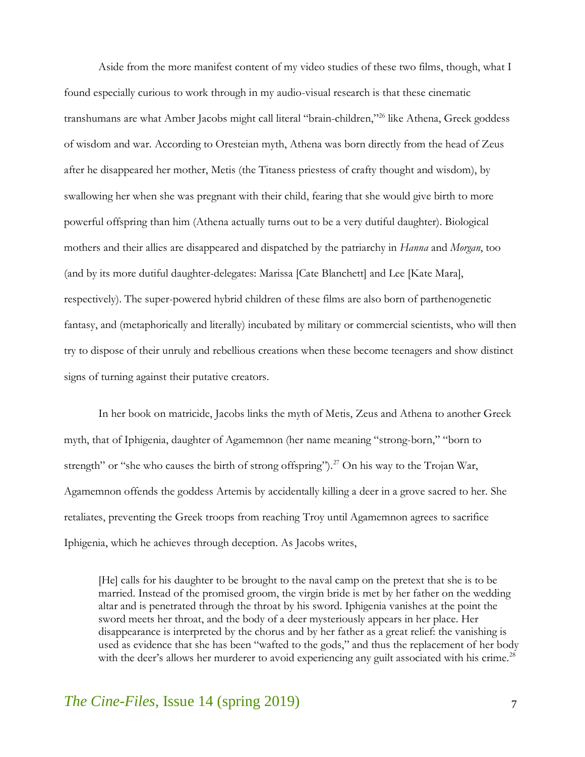Aside from the more manifest content of my video studies of these two films, though, what I found especially curious to work through in my audio-visual research is that these cinematic transhumans are what Amber Jacobs might call literal "brain-children,"<sup>26</sup> like Athena, Greek goddess of wisdom and war. According to Oresteian myth, Athena was born directly from the head of Zeus after he disappeared her mother, Metis (the Titaness priestess of crafty thought and wisdom), by swallowing her when she was pregnant with their child, fearing that she would give birth to more powerful offspring than him (Athena actually turns out to be a very dutiful daughter). Biological mothers and their allies are disappeared and dispatched by the patriarchy in *Hanna* and *Morgan*, too (and by its more dutiful daughter-delegates: Marissa [Cate Blanchett] and Lee [Kate Mara], respectively). The super-powered hybrid children of these films are also born of parthenogenetic fantasy, and (metaphorically and literally) incubated by military or commercial scientists, who will then try to dispose of their unruly and rebellious creations when these become teenagers and show distinct signs of turning against their putative creators.

In her book on matricide, Jacobs links the myth of Metis, Zeus and Athena to another Greek myth, that of Iphigenia, daughter of Agamemnon (her name meaning "strong-born," "born to strength" or "she who causes the birth of strong offspring").<sup>27</sup> On his way to the Trojan War, Agamemnon offends the goddess Artemis by accidentally killing a deer in a grove sacred to her. She retaliates, preventing the Greek troops from reaching Troy until Agamemnon agrees to sacrifice Iphigenia, which he achieves through deception. As Jacobs writes,

[He] calls for his daughter to be brought to the naval camp on the pretext that she is to be married. Instead of the promised groom, the virgin bride is met by her father on the wedding altar and is penetrated through the throat by his sword. Iphigenia vanishes at the point the sword meets her throat, and the body of a deer mysteriously appears in her place. Her disappearance is interpreted by the chorus and by her father as a great relief: the vanishing is used as evidence that she has been "wafted to the gods," and thus the replacement of her body with the deer's allows her murderer to avoid experiencing any guilt associated with his crime.<sup>28</sup>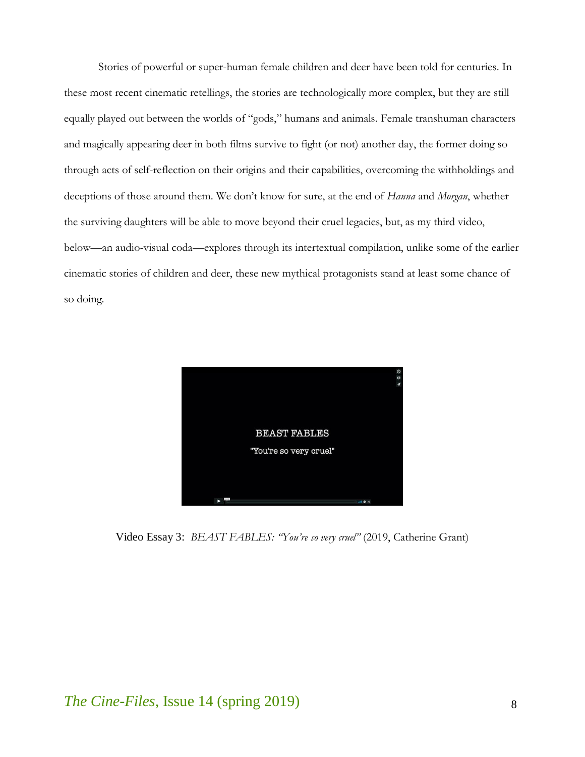Stories of powerful or super-human female children and deer have been told for centuries. In these most recent cinematic retellings, the stories are technologically more complex, but they are still equally played out between the worlds of "gods," humans and animals. Female transhuman characters and magically appearing deer in both films survive to fight (or not) another day, the former doing so through acts of self-reflection on their origins and their capabilities, overcoming the withholdings and deceptions of those around them. We don't know for sure, at the end of *Hanna* and *Morgan*, whether the surviving daughters will be able to move beyond their cruel legacies, but, as my third video, below—an audio-visual coda—explores through its intertextual compilation, unlike some of the earlier cinematic stories of children and deer, these new mythical protagonists stand at least some chance of so doing.



Video Essay 3: *[BEAST FABLES: "You're so very cruel"](http://www.criticalcommons.org/Members/filmstudiesff/clips/beast-fables-201cyoure-so-very-cruel201d-a-video/video_view)* (2019, Catherine Grant)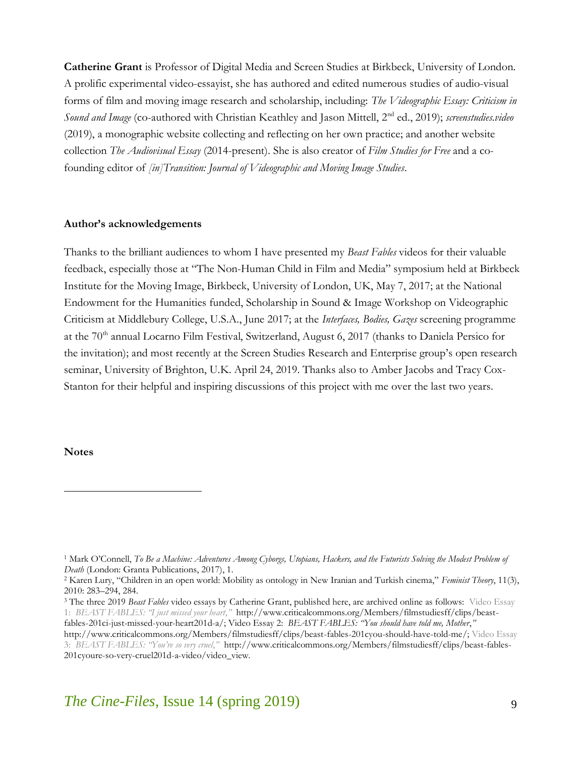**Catherine Grant** is Professor of Digital Media and Screen Studies at Birkbeck, University of London. A prolific experimental video-essayist, she has authored and edited numerous studies of audio-visual forms of film and moving image research and scholarship, including: *The Videographic Essay: Criticism in Sound and Image* (co-authored with Christian Keathley and Jason Mittell, 2nd ed., 2019); *[screenstudies.video](https://screenstudies.video/)* (2019), a monographic website collecting and reflecting on her own practice; and another website collection *[The Audiovisual Essay](http://reframe.sussex.ac.uk/audiovisualessay/)* (2014-present). She is also creator of *[Film Studies for Free](https://filmstudiesforfree.blogspot.com/)* and a cofounding editor of *[\[in\]Transition: Journal of Videographic and Moving Image Studies](http://mediacommons.org/intransition)*.

#### **Author's acknowledgements**

Thanks to the brilliant audiences to whom I have presented my *Beast Fables* videos for their valuable feedback, especially those at "The Non-Human Child in Film and Media" symposium held at Birkbeck Institute for the Moving Image, Birkbeck, University of London, UK, May 7, 2017; at the National Endowment for the Humanities funded, Scholarship in Sound & Image Workshop on Videographic Criticism at Middlebury College, U.S.A., June 2017; at the *Interfaces, Bodies, Gazes* screening programme at the 70<sup>th</sup> annual Locarno Film Festival, Switzerland, August 6, 2017 (thanks to Daniela Persico for the invitation); and most recently at the Screen Studies Research and Enterprise group's open research seminar, University of Brighton, U.K. April 24, 2019. Thanks also to Amber Jacobs and Tracy Cox-Stanton for their helpful and inspiring discussions of this project with me over the last two years.

#### **Notes**

 $\overline{a}$ 

<sup>1</sup> Mark O'Connell, *To Be a Machine: Adventures Among Cyborgs, Utopians, Hackers, and the Futurists Solving the Modest Problem of Death* (London: Granta Publications, 2017), 1.

<sup>2</sup> Karen Lury, "Children in an open world: Mobility as ontology in New Iranian and Turkish cinema," *Feminist Theory*, 11(3), 2010: 283–294, 284.

<sup>3</sup> The three 2019 *Beast Fables* video essays by Catherine Grant, published here, are archived online as follows: [Video Essay](http://www.criticalcommons.org/Members/filmstudiesff/clips/beast-fables-201ci-just-missed-your-heart201d-a/)  1: *[BEAST FABLES: "I just missed your heart](http://www.criticalcommons.org/Members/filmstudiesff/clips/beast-fables-201ci-just-missed-your-heart201d-a/)*,*"* [http://www.criticalcommons.org/Members/filmstudiesff/clips/beast](http://www.criticalcommons.org/Members/filmstudiesff/clips/beast-fables-201ci-just-missed-your-heart201d-a/)[fables-201ci-just-missed-your-heart201d-a/;](http://www.criticalcommons.org/Members/filmstudiesff/clips/beast-fables-201ci-just-missed-your-heart201d-a/) Video Essay 2: *[BEAST FABLES: "You should have told me, Mother](https://d.docs.live.net/805d0ae9c5a492cd/Documents/Video%20Essay%202:%20%20BEAST%20FABLES:)*,*"* 

[http://www.criticalcommons.org/Members/filmstudiesff/clips/beast-fables-201cyou-should-have-told-me/;](https://d.docs.live.net/805d0ae9c5a492cd/Documents/Video%20Essay%202:%20%20BEAST%20FABLES:) [Video Essay](http://www.criticalcommons.org/Members/filmstudiesff/clips/beast-fables-201cyoure-so-very-cruel201d-a-video/video_view)  3: *BEA[ST FABLES: "You're so very cruel](http://www.criticalcommons.org/Members/filmstudiesff/clips/beast-fables-201cyoure-so-very-cruel201d-a-video/video_view)*,*"* [http://www.criticalcommons.org/Members/filmstudiesff/clips/beast-fables-](http://www.criticalcommons.org/Members/filmstudiesff/clips/beast-fables-201cyoure-so-very-cruel201d-a-video/video_view)[201cyoure-so-very-cruel201d-a-video/video\\_view.](http://www.criticalcommons.org/Members/filmstudiesff/clips/beast-fables-201cyoure-so-very-cruel201d-a-video/video_view)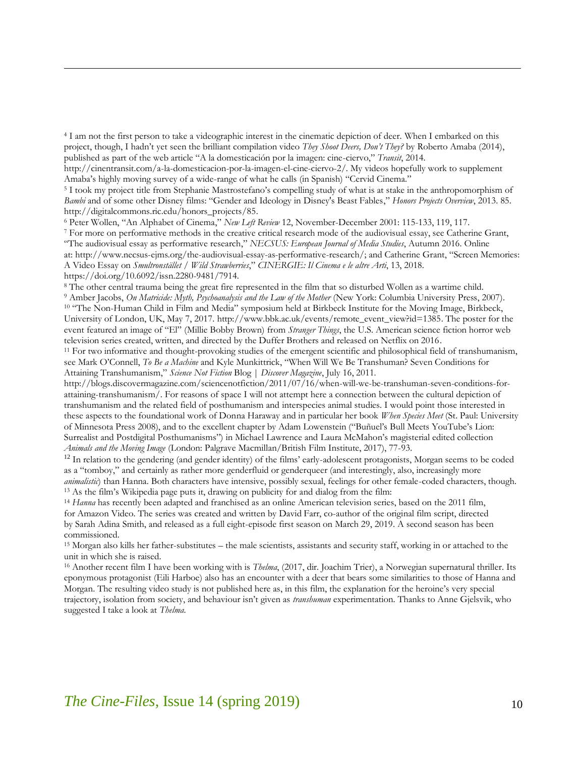<sup>4</sup> I am not the first person to take a videographic interest in the cinematic depiction of deer. When I embarked on this project, though, I hadn't yet seen the brilliant compilation video *They Shoot Deers, Don't They?* by Roberto Amaba (2014), published as part of the web article "A la domesticación por la imagen: cine-ciervo," *Transit*, 2014.

[http://cinentransit.com/a-la-domesticacion-por-la-imagen-el-cine-ciervo-2/.](http://cinentransit.com/a-la-domesticacion-por-la-imagen-el-cine-ciervo-2/) My videos hopefully work to supplement Amaba's highly moving survey of a wide-range of what he calls (in Spanish) "Cervid Cinema."

<sup>5</sup> I took my project title from Stephanie Mastrostefano's compelling study of what is at stake in the anthropomorphism of *Bambi* and of some other Disney films: "Gender and Ideology in Disney's Beast Fables," *Honors Projects Overview*, 2013. 85. [http://digitalcommons.ric.edu/honors\\_projects/85.](http://digitalcommons.ric.edu/honors_projects/85)

<sup>6</sup> Peter Wollen, "An Alphabet of Cinema," *New Left Review* 12, November-December 2001: 115-133, 119, 117.

 $\overline{a}$ 

<sup>7</sup> For more on performative methods in the creative critical research mode of the audiovisual essay, see Catherine Grant, "The audiovisual essay as performative research," *NECSUS: European Journal of Media Studies*, Autumn 2016. Online at: <http://www.necsus-ejms.org/the-audiovisual-essay-as-performative-research/>; and Catherine Grant, "Screen Memories: A Video Essay on *Smultronstället* / *Wild Strawberries*," *CINERGIE: Il Cinema e le altre Arti*, 13, 2018. [https://doi.org/10.6092/issn.2280-9481/7914.](https://doi.org/10.6092/issn.2280-9481/7914)

<sup>8</sup> The other central trauma being the great fire represented in the film that so disturbed Wollen as a wartime child.

<sup>9</sup> Amber Jacobs, *On Matricide: Myth, Psychoanalysis and the Law of the Mother* (New York: Columbia University Press, 2007). <sup>10</sup> "The Non-Human Child in Film and Media" symposium held at Birkbeck Institute for the Moving Image, Birkbeck, University of London, UK, May 7, 2017. [http://www.bbk.ac.uk/events/remote\\_event\\_view?id=1385.](http://www.bbk.ac.uk/events/remote_event_view?id=1385) The poster for the event featured an image of "El" (Millie Bobby Brown) from *Stranger Things*, the U.S. American science fiction horror web television series created, written, and directed by the Duffer Brothers and released on Netflix on 2016.

<sup>11</sup> For two informative and thought-provoking studies of the emergent scientific and philosophical field of transhumanism, see Mark O'Connell, *To Be a Machine* and Kyle Munkittrick, "When Will We Be Transhuman? Seven Conditions for Attaining Transhumanism," *Science Not Fiction* Blog | *Discover Magazine*, July 16, 2011.

[http://blogs.discovermagazine.com/sciencenotfiction/2011/07/16/when-will-we-be-transhuman-seven-conditions-for](http://blogs.discovermagazine.com/sciencenotfiction/2011/07/16/when-will-we-be-transhuman-seven-conditions-for-attaining-transhumanism/)[attaining-transhumanism/.](http://blogs.discovermagazine.com/sciencenotfiction/2011/07/16/when-will-we-be-transhuman-seven-conditions-for-attaining-transhumanism/) For reasons of space I will not attempt here a connection between the cultural depiction of transhumanism and the related field of posthumanism and interspecies animal studies. I would point those interested in these aspects to the foundational work of Donna Haraway and in particular her book *When Species Meet* (St. Paul: University of Minnesota Press 2008), and to the excellent chapter by Adam Lowenstein ("Buñuel's Bull Meets YouTube's Lion: Surrealist and Postdigital Posthumanisms") in Michael Lawrence and Laura McMahon's magisterial edited collection *Animals and the Moving Image* (London: Palgrave Macmillan/British Film Institute, 2017), 77-93.

 $12$  In relation to the gendering (and gender identity) of the films' early-adolescent protagonists, Morgan seems to be coded as a "tomboy," and certainly as rather more genderfluid or genderqueer (and interestingly, also, increasingly more *animalistic*) than Hanna. Both characters have intensive, possibly sexual, feelings for other female-coded characters, though. <sup>13</sup> As the film's Wikipedia page puts it, drawing on publicity for and dialog from the film:

<sup>14</sup> *Hanna* has recently been adapted and franchised as an online American television series, based on the 2011 film, for Amazon Video. The series was created and written by David Farr, co-author of the original film script, directed by Sarah Adina Smith, and released as a full eight-episode first season on March 29, 2019. A second season has been commissioned.

<sup>15</sup> Morgan also kills her father-substitutes – the male scientists, assistants and security staff, working in or attached to the unit in which she is raised.

<sup>16</sup> Another recent film I have been working with is *Thelma*, (2017, dir. Joachim Trier), a Norwegian supernatural thriller. Its eponymous protagonist (Eili Harboe) also has an encounter with a deer that bears some similarities to those of Hanna and Morgan. The resulting video study is not published here as, in this film, the explanation for the heroine's very special trajectory, isolation from society, and behaviour isn't given as *transhuman* experimentation. Thanks to Anne Gjelsvik, who suggested I take a look at *Thelma*.